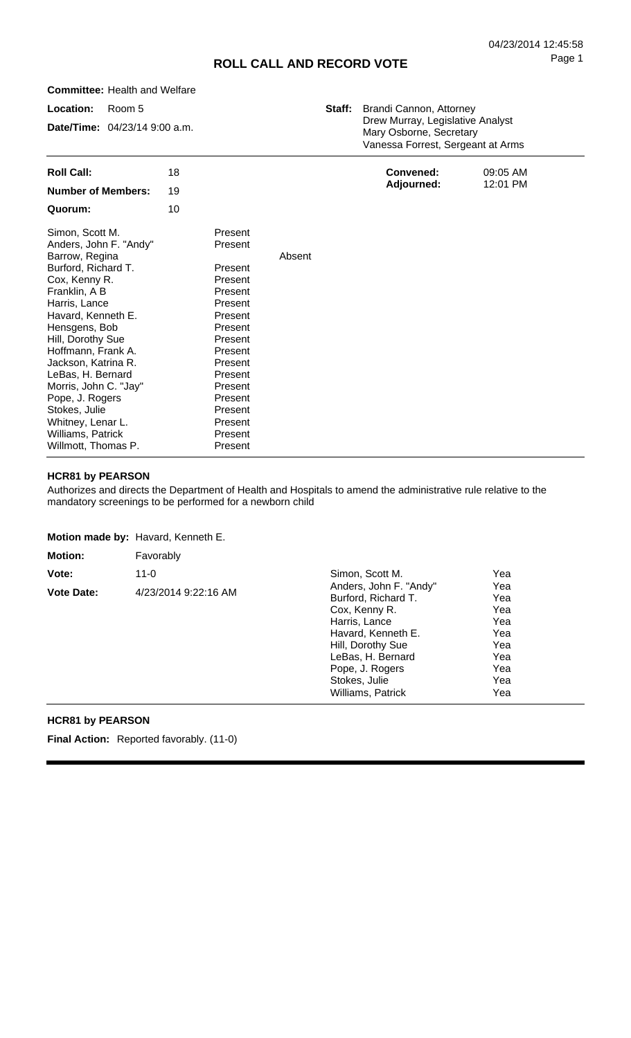# **ROLL CALL AND RECORD VOTE**

**Location: Date/Time:** 04/23/14 9:00 a.m. Room 5 **Staff:** Brandi Cannon, Attorney Drew Murray, Legislative Analyst Mary Osborne, Secretary Vanessa Forrest, Sergeant at Arms **Roll Call: Number of Members: Quorum:** 18 19 10 Simon, Scott M. Anders, John F. "Andy" Barrow, Regina Burford, Richard T. Cox, Kenny R. Franklin, A B Harris, Lance Havard, Kenneth E. Hensgens, Bob Hill, Dorothy Sue Hoffmann, Frank A. Jackson, Katrina R. LeBas, H. Bernard Morris, John C. "Jay" Pope, J. Rogers Stokes, Julie Whitney, Lenar L. Williams, Patrick Present Present Present Present Present Present Present Present Present Present Present Present Present Present Present Present Present Absent **Convened: Adjourned:** 09:05 AM 12:01 PM

#### **HCR81 by PEARSON**

Willmott, Thomas P.

**Committee:** Health and Welfare

Authorizes and directs the Department of Health and Hospitals to amend the administrative rule relative to the mandatory screenings to be performed for a newborn child

Present

**Motion made by:** Havard, Kenneth E.

| <b>Motion:</b>    | Favorably            |                                                                                                                                                                                                          |                                                                    |
|-------------------|----------------------|----------------------------------------------------------------------------------------------------------------------------------------------------------------------------------------------------------|--------------------------------------------------------------------|
| Vote:             | $11 - 0$             | Simon, Scott M.                                                                                                                                                                                          | Yea                                                                |
| <b>Vote Date:</b> | 4/23/2014 9:22:16 AM | Anders, John F. "Andy"<br>Burford, Richard T.<br>Cox, Kenny R.<br>Harris, Lance<br>Havard, Kenneth E.<br>Hill, Dorothy Sue<br>LeBas, H. Bernard<br>Pope, J. Rogers<br>Stokes, Julie<br>Williams, Patrick | Yea<br>Yea<br>Yea<br>Yea<br>Yea<br>Yea<br>Yea<br>Yea<br>Yea<br>Yea |

### **HCR81 by PEARSON**

**Final Action:** Reported favorably. (11-0)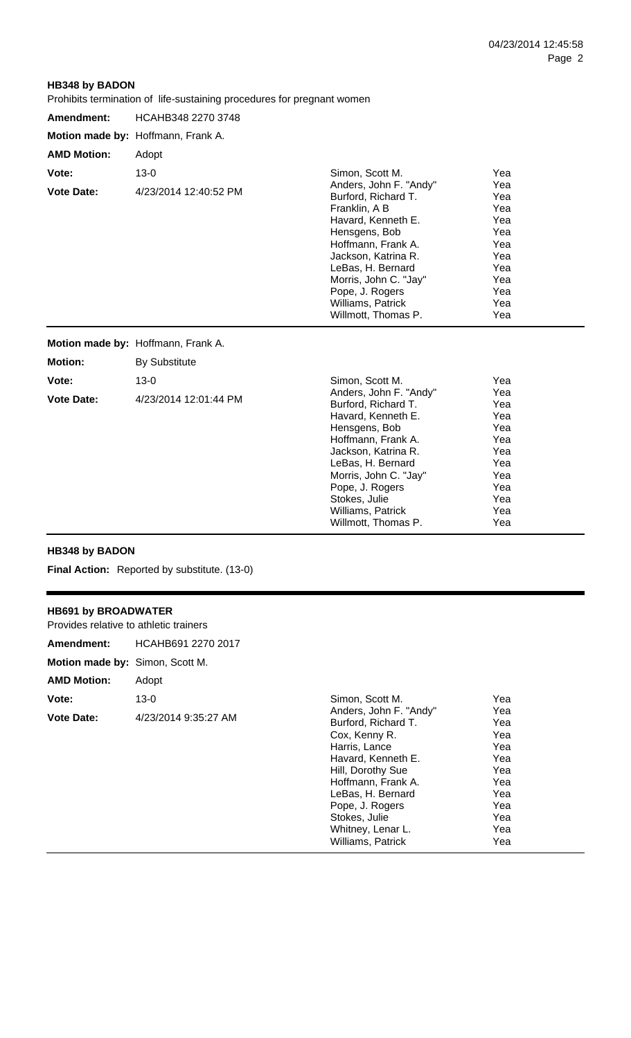Yea Yea Yea Yea Yea

# **HB348 by BADON**

Prohibits termination of life-sustaining procedures for pregnant women

| Amendment:         | HCAHB348 2270 3748                 |                                                                                                                                                                                                                                                                 |                                                                                  |  |
|--------------------|------------------------------------|-----------------------------------------------------------------------------------------------------------------------------------------------------------------------------------------------------------------------------------------------------------------|----------------------------------------------------------------------------------|--|
|                    | Motion made by: Hoffmann, Frank A. |                                                                                                                                                                                                                                                                 |                                                                                  |  |
| <b>AMD Motion:</b> | Adopt                              |                                                                                                                                                                                                                                                                 |                                                                                  |  |
| Vote:              | $13 - 0$                           | Simon, Scott M.                                                                                                                                                                                                                                                 | Yea                                                                              |  |
| <b>Vote Date:</b>  | 4/23/2014 12:40:52 PM              | Anders, John F. "Andy"<br>Burford, Richard T.<br>Franklin, A B<br>Havard, Kenneth E.<br>Hensgens, Bob<br>Hoffmann, Frank A.<br>Jackson, Katrina R.<br>LeBas, H. Bernard<br>Morris, John C. "Jay"<br>Pope, J. Rogers<br>Williams, Patrick<br>Willmott, Thomas P. | Yea<br>Yea<br>Yea<br>Yea<br>Yea<br>Yea<br>Yea<br>Yea<br>Yea<br>Yea<br>Yea<br>Yea |  |
|                    | Motion made by: Hoffmann, Frank A. |                                                                                                                                                                                                                                                                 |                                                                                  |  |
| <b>Motion:</b>     | <b>By Substitute</b>               |                                                                                                                                                                                                                                                                 |                                                                                  |  |
| Vote:              | $13 - 0$                           | Simon, Scott M.                                                                                                                                                                                                                                                 | Yea                                                                              |  |
| <b>Vote Date:</b>  | 4/23/2014 12:01:44 PM              | Anders, John F. "Andy"<br>Burford, Richard T.<br>Havard, Kenneth E.<br>Hensgens, Bob<br>Hoffmann, Frank A.<br>Jackson, Katrina R.<br>LeBas, H. Bernard                                                                                                          | Yea<br>Yea<br>Yea<br>Yea<br>Yea<br>Yea<br>Yea                                    |  |

Morris, John C. "Jay" Pope, J. Rogers Stokes, Julie Williams, Patrick Willmott, Thomas P.

## **HB348 by BADON**

**Final Action:** Reported by substitute. (13-0)

# **HB691 by BROADWATER**

| Provides relative to athletic trainers |                      |                                                                                                                                                                                                                                |                                                                           |
|----------------------------------------|----------------------|--------------------------------------------------------------------------------------------------------------------------------------------------------------------------------------------------------------------------------|---------------------------------------------------------------------------|
| Amendment:                             | HCAHB691 2270 2017   |                                                                                                                                                                                                                                |                                                                           |
| Motion made by: Simon, Scott M.        |                      |                                                                                                                                                                                                                                |                                                                           |
| <b>AMD Motion:</b>                     | Adopt                |                                                                                                                                                                                                                                |                                                                           |
| Vote:                                  | $13 - 0$             | Simon, Scott M.                                                                                                                                                                                                                | Yea                                                                       |
| <b>Vote Date:</b>                      | 4/23/2014 9:35:27 AM | Anders, John F. "Andy"<br>Burford, Richard T.<br>Cox, Kenny R.<br>Harris, Lance<br>Havard, Kenneth E.<br>Hill, Dorothy Sue<br>Hoffmann, Frank A.<br>LeBas, H. Bernard<br>Pope, J. Rogers<br>Stokes, Julie<br>Whitney, Lenar L. | Yea<br>Yea<br>Yea<br>Yea<br>Yea<br>Yea<br>Yea<br>Yea<br>Yea<br>Yea<br>Yea |
|                                        |                      | Williams, Patrick                                                                                                                                                                                                              | Yea                                                                       |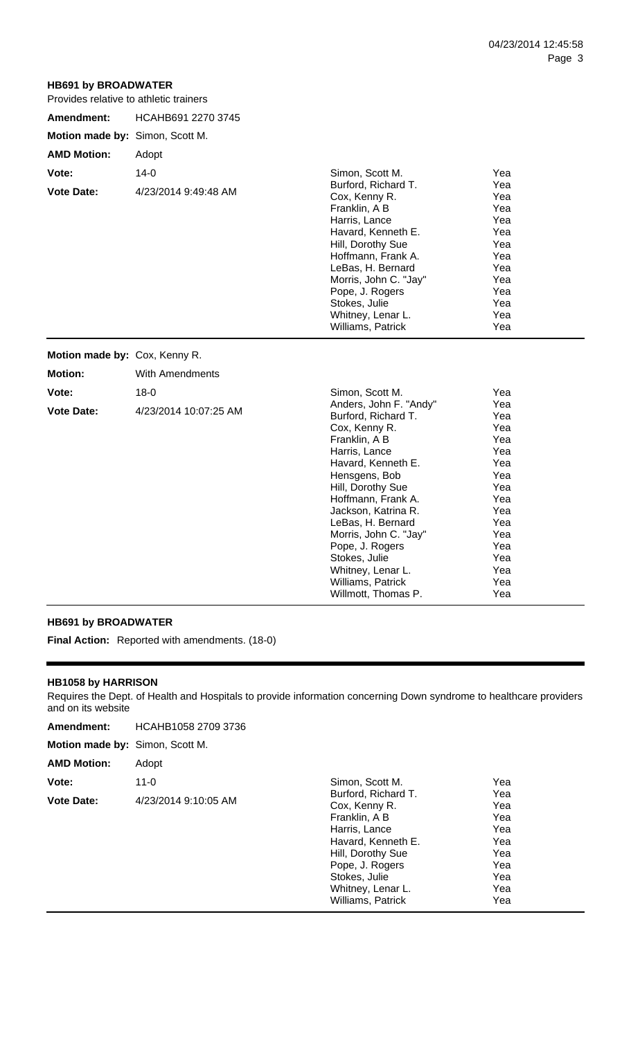# **HB691 by BROADWATER**

|  | Provides relative to athletic trainers |
|--|----------------------------------------|
|--|----------------------------------------|

| HCAHB691 2270 3745                |                                                                                                                                                                                                                                                                                                                |                                                                                                       |     |
|-----------------------------------|----------------------------------------------------------------------------------------------------------------------------------------------------------------------------------------------------------------------------------------------------------------------------------------------------------------|-------------------------------------------------------------------------------------------------------|-----|
|                                   |                                                                                                                                                                                                                                                                                                                |                                                                                                       |     |
| Adopt                             |                                                                                                                                                                                                                                                                                                                |                                                                                                       |     |
| $14 - 0$<br>4/23/2014 9:49:48 AM  | Simon, Scott M.<br>Burford, Richard T.<br>Cox, Kenny R.<br>Franklin, A B<br>Harris, Lance<br>Havard, Kenneth E.<br>Hill, Dorothy Sue<br>Hoffmann, Frank A.<br>LeBas, H. Bernard<br>Morris, John C. "Jay"<br>Pope, J. Rogers<br>Stokes, Julie                                                                   | Yea<br>Yea<br>Yea<br>Yea<br>Yea<br>Yea<br>Yea<br>Yea<br>Yea<br>Yea<br>Yea<br>Yea                      |     |
|                                   | Williams, Patrick                                                                                                                                                                                                                                                                                              | Yea                                                                                                   |     |
|                                   |                                                                                                                                                                                                                                                                                                                |                                                                                                       |     |
| <b>With Amendments</b>            |                                                                                                                                                                                                                                                                                                                |                                                                                                       |     |
| $18 - 0$<br>4/23/2014 10:07:25 AM | Simon, Scott M.<br>Anders, John F. "Andy"<br>Burford, Richard T.<br>Cox, Kenny R.<br>Franklin, A B<br>Harris, Lance<br>Havard, Kenneth E.<br>Hensgens, Bob<br>Hill, Dorothy Sue<br>Hoffmann, Frank A.<br>Jackson, Katrina R.<br>LeBas, H. Bernard<br>Morris, John C. "Jay"<br>Pope, J. Rogers<br>Stokes, Julie | Yea<br>Yea<br>Yea<br>Yea<br>Yea<br>Yea<br>Yea<br>Yea<br>Yea<br>Yea<br>Yea<br>Yea<br>Yea<br>Yea<br>Yea |     |
|                                   | Motion made by: Simon, Scott M.<br>Motion made by: Cox, Kenny R.                                                                                                                                                                                                                                               | <b>I</b> TOVIDES TERRIVE TO ATTIGLIC TRIFIELS<br>Whitney, Lenar L.                                    | Yea |

## **HB691 by BROADWATER**

**Final Action:** Reported with amendments. (18-0)

### **HB1058 by HARRISON**

Requires the Dept. of Health and Hospitals to provide information concerning Down syndrome to healthcare providers and on its website

Whitney, Lenar L. Williams, Patrick Willmott, Thomas P. Yea Yea Yea

| Amendment:                      | HCAHB1058 2709 3736  |                                                                            |                          |
|---------------------------------|----------------------|----------------------------------------------------------------------------|--------------------------|
| Motion made by: Simon, Scott M. |                      |                                                                            |                          |
| <b>AMD Motion:</b>              | Adopt                |                                                                            |                          |
| Vote:                           | $11 - 0$             | Simon, Scott M.                                                            | Yea                      |
| <b>Vote Date:</b>               | 4/23/2014 9:10:05 AM | Burford, Richard T.<br>Cox, Kenny R.<br>Franklin, A B                      | Yea<br>Yea<br>Yea        |
|                                 |                      | Harris, Lance<br>Havard, Kenneth E.<br>Hill, Dorothy Sue                   | Yea<br>Yea<br>Yea        |
|                                 |                      | Pope, J. Rogers<br>Stokes, Julie<br>Whitney, Lenar L.<br>Williams, Patrick | Yea<br>Yea<br>Yea<br>Yea |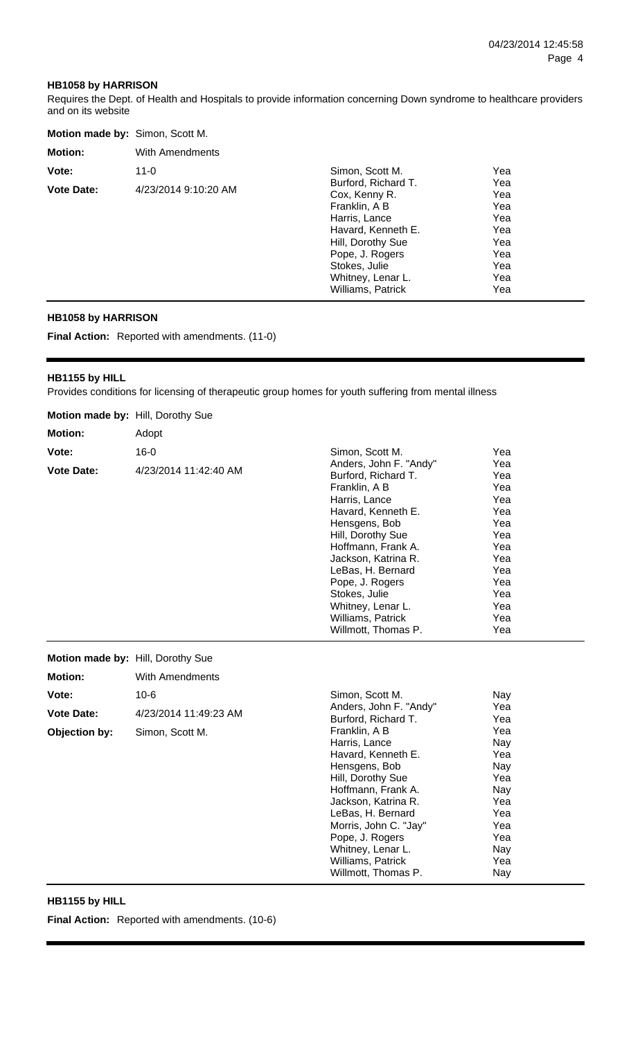#### **HB1058 by HARRISON**

Requires the Dept. of Health and Hospitals to provide information concerning Down syndrome to healthcare providers and on its website

| Motion made by: Simon, Scott M. |                      |                                                                                                                                                                                                 |                                                                    |  |
|---------------------------------|----------------------|-------------------------------------------------------------------------------------------------------------------------------------------------------------------------------------------------|--------------------------------------------------------------------|--|
| <b>Motion:</b>                  | With Amendments      |                                                                                                                                                                                                 |                                                                    |  |
| Vote:                           | $11 - 0$             | Simon, Scott M.                                                                                                                                                                                 | Yea                                                                |  |
| <b>Vote Date:</b>               | 4/23/2014 9:10:20 AM | Burford, Richard T.<br>Cox, Kenny R.<br>Franklin, A B<br>Harris, Lance<br>Havard, Kenneth E.<br>Hill, Dorothy Sue<br>Pope, J. Rogers<br>Stokes, Julie<br>Whitney, Lenar L.<br>Williams, Patrick | Yea<br>Yea<br>Yea<br>Yea<br>Yea<br>Yea<br>Yea<br>Yea<br>Yea<br>Yea |  |

## **HB1058 by HARRISON**

**Final Action:** Reported with amendments. (11-0)

### **HB1155 by HILL**

Provides conditions for licensing of therapeutic group homes for youth suffering from mental illness

| Motion made by: Hill, Dorothy Sue |                        |                                                                                                                                                                                                                                                                                                                    |                                                                                                       |
|-----------------------------------|------------------------|--------------------------------------------------------------------------------------------------------------------------------------------------------------------------------------------------------------------------------------------------------------------------------------------------------------------|-------------------------------------------------------------------------------------------------------|
| <b>Motion:</b>                    | Adopt                  |                                                                                                                                                                                                                                                                                                                    |                                                                                                       |
| Vote:                             | $16 - 0$               | Simon, Scott M.                                                                                                                                                                                                                                                                                                    | Yea                                                                                                   |
| <b>Vote Date:</b>                 | 4/23/2014 11:42:40 AM  | Anders, John F. "Andy"<br>Burford, Richard T.<br>Franklin, A B<br>Harris, Lance<br>Havard, Kenneth E.<br>Hensgens, Bob<br>Hill, Dorothy Sue<br>Hoffmann, Frank A.<br>Jackson, Katrina R.<br>LeBas, H. Bernard<br>Pope, J. Rogers<br>Stokes, Julie<br>Whitney, Lenar L.<br>Williams, Patrick<br>Willmott, Thomas P. | Yea<br>Yea<br>Yea<br>Yea<br>Yea<br>Yea<br>Yea<br>Yea<br>Yea<br>Yea<br>Yea<br>Yea<br>Yea<br>Yea<br>Yea |
| Motion made by: Hill, Dorothy Sue |                        |                                                                                                                                                                                                                                                                                                                    |                                                                                                       |
| <b>Motion:</b>                    | <b>With Amendments</b> |                                                                                                                                                                                                                                                                                                                    |                                                                                                       |
| Vote:                             | $10 - 6$               | Simon, Scott M.<br>Anders, John F. "Andy"                                                                                                                                                                                                                                                                          | Nay<br>Yea                                                                                            |
| <b>Vote Date:</b>                 | 4/23/2014 11:49:23 AM  | Burford, Richard T.                                                                                                                                                                                                                                                                                                | Yea                                                                                                   |
| Objection by:                     | Simon, Scott M.        | Franklin, A B<br>Harris, Lance<br>Havard, Kenneth E.<br>Hensgens, Bob<br>Hill, Dorothy Sue<br>Hoffmann, Frank A.<br>Jackson, Katrina R.<br>LeBas, H. Bernard<br>Morris, John C. "Jay"<br>Pope, J. Rogers<br>Whitney, Lenar L.<br>Williams, Patrick<br>Willmott, Thomas P.                                          | Yea<br>Nay<br>Yea<br>Nay<br>Yea<br>Nay<br>Yea<br>Yea<br>Yea<br>Yea<br>Nay<br>Yea<br>Nay               |

# **HB1155 by HILL**

**Final Action:** Reported with amendments. (10-6)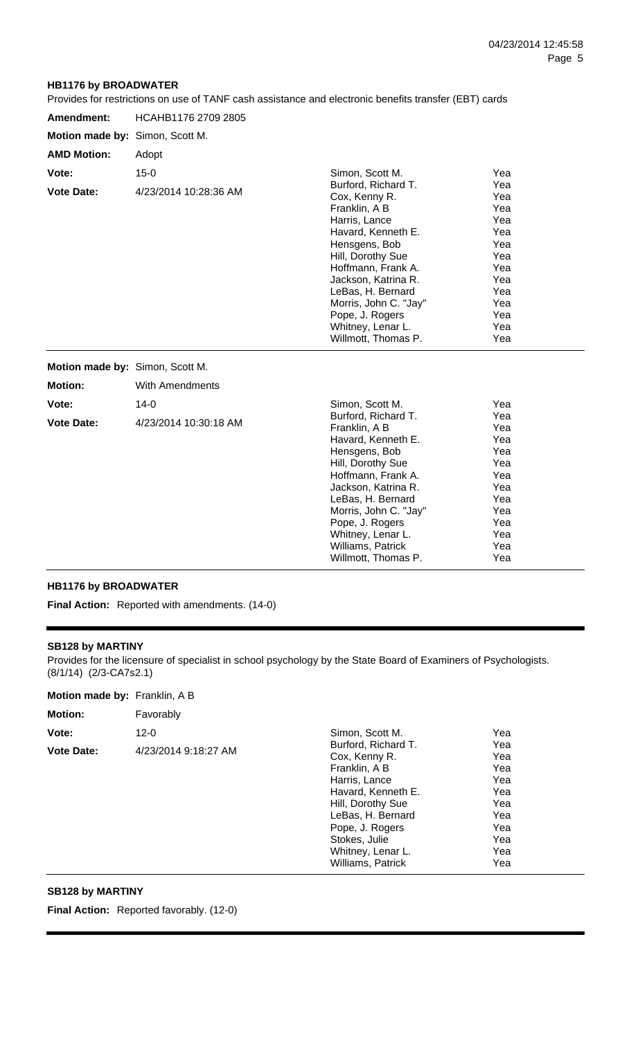Yea Yea Yea Yea Yea Yea Yea Yea Yea Yea

### **HB1176 by BROADWATER**

Provides for restrictions on use of TANF cash assistance and electronic benefits transfer (EBT) cards

| Amendment:                      | HCAHB1176 2709 2805             |                                                                                                                                                                                                                                                  |                                                                                  |  |
|---------------------------------|---------------------------------|--------------------------------------------------------------------------------------------------------------------------------------------------------------------------------------------------------------------------------------------------|----------------------------------------------------------------------------------|--|
| Motion made by: Simon, Scott M. |                                 |                                                                                                                                                                                                                                                  |                                                                                  |  |
| <b>AMD Motion:</b>              | Adopt                           |                                                                                                                                                                                                                                                  |                                                                                  |  |
| Vote:<br><b>Vote Date:</b>      | $15-0$<br>4/23/2014 10:28:36 AM | Simon, Scott M.<br>Burford, Richard T.<br>Cox, Kenny R.<br>Franklin, A B<br>Harris, Lance<br>Havard, Kenneth E.<br>Hensgens, Bob<br>Hill, Dorothy Sue<br>Hoffmann, Frank A.<br>Jackson, Katrina R.<br>LeBas, H. Bernard<br>Morris, John C. "Jay" | Yea<br>Yea<br>Yea<br>Yea<br>Yea<br>Yea<br>Yea<br>Yea<br>Yea<br>Yea<br>Yea<br>Yea |  |
|                                 |                                 | Pope, J. Rogers<br>Whitney, Lenar L.<br>Willmott, Thomas P.                                                                                                                                                                                      | Yea<br>Yea<br>Yea                                                                |  |
| Motion made by: Simon, Scott M. |                                 |                                                                                                                                                                                                                                                  |                                                                                  |  |
| <b>Motion:</b>                  | With Amendments                 |                                                                                                                                                                                                                                                  |                                                                                  |  |
| Vote:<br><b>Vote Date:</b>      | $14-0$<br>4/23/2014 10:30:18 AM | Simon, Scott M.<br>Burford, Richard T.<br>Franklin, A B<br>Havard, Kenneth E.                                                                                                                                                                    | Yea<br>Yea<br>Yea<br>Yea                                                         |  |

Hensgens, Bob Hill, Dorothy Sue Hoffmann, Frank A. Jackson, Katrina R. LeBas, H. Bernard Morris, John C. "Jay" Pope, J. Rogers Whitney, Lenar L. Williams, Patrick Willmott, Thomas P.

# **HB1176 by BROADWATER**

**Final Action:** Reported with amendments. (14-0)

#### **SB128 by MARTINY**

Provides for the licensure of specialist in school psychology by the State Board of Examiners of Psychologists. (8/1/14) (2/3-CA7s2.1)

| <b>Motion:</b>    | Favorably            |                                                      |                   |
|-------------------|----------------------|------------------------------------------------------|-------------------|
| Vote:             | $12 - 0$             | Simon, Scott M.                                      | Yea               |
| <b>Vote Date:</b> | 4/23/2014 9:18:27 AM | Burford, Richard T.<br>Cox, Kenny R.                 | Yea<br>Yea        |
|                   |                      | Franklin, A B<br>Harris, Lance<br>Havard, Kenneth E. | Yea<br>Yea<br>Yea |
|                   |                      | Hill, Dorothy Sue<br>LeBas, H. Bernard               | Yea<br>Yea        |
|                   |                      | Pope, J. Rogers                                      | Yea               |
|                   |                      | Stokes, Julie<br>Whitney, Lenar L.                   | Yea<br>Yea        |
|                   |                      | Williams, Patrick                                    | Yea               |

### **SB128 by MARTINY**

Final Action: Reported favorably. (12-0)